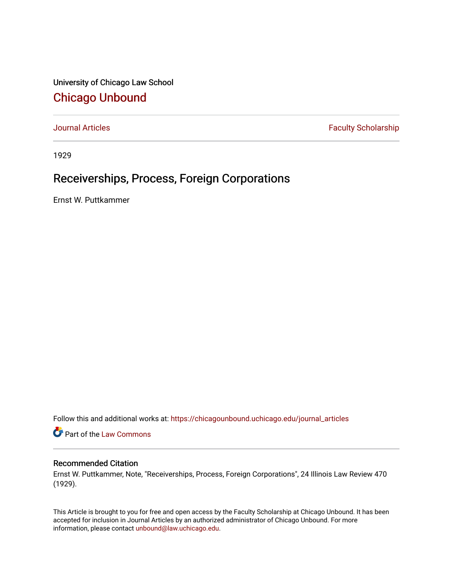University of Chicago Law School [Chicago Unbound](https://chicagounbound.uchicago.edu/)

[Journal Articles](https://chicagounbound.uchicago.edu/journal_articles) **Faculty Scholarship Faculty Scholarship** 

1929

## Receiverships, Process, Foreign Corporations

Ernst W. Puttkammer

Follow this and additional works at: [https://chicagounbound.uchicago.edu/journal\\_articles](https://chicagounbound.uchicago.edu/journal_articles?utm_source=chicagounbound.uchicago.edu%2Fjournal_articles%2F9335&utm_medium=PDF&utm_campaign=PDFCoverPages) 

Part of the [Law Commons](http://network.bepress.com/hgg/discipline/578?utm_source=chicagounbound.uchicago.edu%2Fjournal_articles%2F9335&utm_medium=PDF&utm_campaign=PDFCoverPages)

## Recommended Citation

Ernst W. Puttkammer, Note, "Receiverships, Process, Foreign Corporations", 24 Illinois Law Review 470 (1929).

This Article is brought to you for free and open access by the Faculty Scholarship at Chicago Unbound. It has been accepted for inclusion in Journal Articles by an authorized administrator of Chicago Unbound. For more information, please contact [unbound@law.uchicago.edu](mailto:unbound@law.uchicago.edu).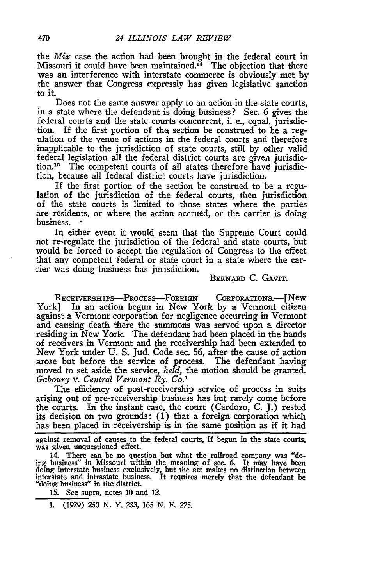the *Mix* case the action had been brought in the federal court in Missouri it could have been maintained.<sup>14</sup> The objection that there was an interference with interstate commerce is obviously met **by** the answer that Congress expressly has given legislative sanction to it.

Does not the same answer apply to an action in the state courts, in a state where the defendant is doing business? Sec. 6 gives the federal courts and the state courts concurrent, i. e., equal, jurisdiction. If the first portion of tho section be construed to be a regulation of the venue of actions in the federal courts and therefore inapplicable to the jurisdiction of state courts, still by other valid federal legislation all the federal district courts are given jurisdiction.<sup>15</sup> The competent courts of all states therefore have jurisdiction, because all federal district courts have jurisdiction.

If the first portion of the section be construed to be a regulation of the jurisdiction of the federal courts, then jurisdiction of the state courts is limited to those states where the parties are residents, or where the action accrued, or the carrier is doing business.

In either event it would seem that the Supreme Court could not re-regulate the jurisdiction of the federal and state courts, but would be forced to accept the regulation of Congress to the effect that any competent federal or state court in a state where the carrier was doing business has jurisdiction.

BERNARD C. GAVIT.

RECEIVERSHIPS-PROCESS-FOREIGN CORPORATIONS.--[New York] In an action begun in New York by a Vermont citizen against a Vermont corporation for negligence occurring in Vermont and causing death there the summons was served upon a director residing in New York. The defendant had been placed in the hands of receivers in Vermont and the receivership had been extended to New York under U. S. Jud. Code sec. 56, after the cause of action arose but before the service of process. The defendant having moved to set aside the service, *held,* the motion should be granted. *Gaboury v. Central Vermont Ry. Co.'*

The efficiency of post-receivership service of process in suits arising out of pre-receivership business has but rarely come before the courts. In the instant case, the court (Cardozo, C. **J.)** rested its decision on two grounds: (1) that a foreign corporation which has been placed in receivership is in the same position as if it had

**15.** See supra, notes 10 and 12.

1. **(1929) 250 N.** Y. 233, **165 N. E. 275.**

against removal of causes to the federal courts, if begun in the state courts, was given unquestioned effect.

<sup>14.</sup> There can be no question but what the railroad company was "do-<br>ing business" in Missouri within the meaning of sec. 6. It may have been<br>doing interstate business exclusively, but the act makes no distinction between<br>i "doing business" in the district.